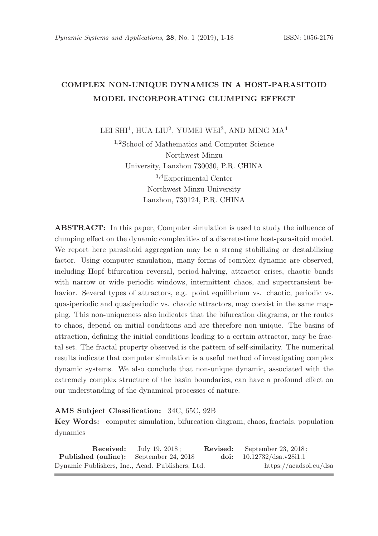# COMPLEX NON-UNIQUE DYNAMICS IN A HOST-PARASITOID MODEL INCORPORATING CLUMPING EFFECT

LEI SHI<sup>1</sup>, HUA LIU<sup>2</sup>, YUMEI WEI<sup>3</sup>, AND MING MA<sup>4</sup>

<sup>1</sup>,<sup>2</sup>School of Mathematics and Computer Science Northwest Minzu University, Lanzhou 730030, P.R. CHINA <sup>3</sup>,<sup>4</sup>Experimental Center Northwest Minzu University Lanzhou, 730124, P.R. CHINA

ABSTRACT: In this paper, Computer simulation is used to study the influence of clumping effect on the dynamic complexities of a discrete-time host-parasitoid model. We report here parasitoid aggregation may be a strong stabilizing or destabilizing factor. Using computer simulation, many forms of complex dynamic are observed, including Hopf bifurcation reversal, period-halving, attractor crises, chaotic bands with narrow or wide periodic windows, intermittent chaos, and supertransient behavior. Several types of attractors, e.g. point equilibrium vs. chaotic, periodic vs. quasiperiodic and quasiperiodic vs. chaotic attractors, may coexist in the same mapping. This non-uniqueness also indicates that the bifurcation diagrams, or the routes to chaos, depend on initial conditions and are therefore non-unique. The basins of attraction, defining the initial conditions leading to a certain attractor, may be fractal set. The fractal property observed is the pattern of self-similarity. The numerical results indicate that computer simulation is a useful method of investigating complex dynamic systems. We also conclude that non-unique dynamic, associated with the extremely complex structure of the basin boundaries, can have a profound effect on our understanding of the dynamical processes of nature.

### AMS Subject Classification: 34C, 65C, 92B

Key Words: computer simulation, bifurcation diagram, chaos, fractals, population dynamics

|                                                  | <b>Received:</b> July 19, $2018$ ; | <b>Revised:</b> September 23, 2018; |
|--------------------------------------------------|------------------------------------|-------------------------------------|
| <b>Published (online):</b> September 24, 2018    |                                    | doi: $10.12732/dsa.v28i1.1$         |
| Dynamic Publishers, Inc., Acad. Publishers, Ltd. |                                    | https://acadsol.eu/dsa              |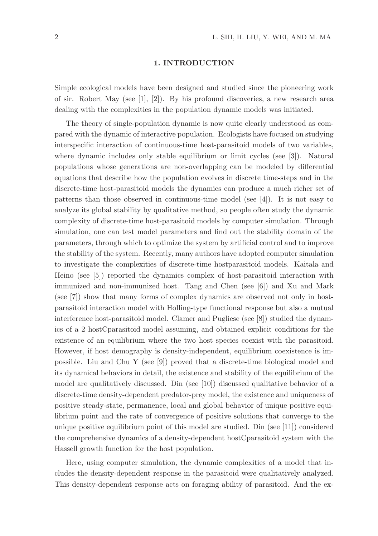### 1. INTRODUCTION

Simple ecological models have been designed and studied since the pioneering work of sir. Robert May (see [1], [2]). By his profound discoveries, a new research area dealing with the complexities in the population dynamic models was initiated.

The theory of single-population dynamic is now quite clearly understood as compared with the dynamic of interactive population. Ecologists have focused on studying interspecific interaction of continuous-time host-parasitoid models of two variables, where dynamic includes only stable equilibrium or limit cycles (see [3]). Natural populations whose generations are non-overlapping can be modeled by differential equations that describe how the population evolves in discrete time-steps and in the discrete-time host-parasitoid models the dynamics can produce a much richer set of patterns than those observed in continuous-time model (see [4]). It is not easy to analyze its global stability by qualitative method, so people often study the dynamic complexity of discrete-time host-parasitoid models by computer simulation. Through simulation, one can test model parameters and find out the stability domain of the parameters, through which to optimize the system by artificial control and to improve the stability of the system. Recently, many authors have adopted computer simulation to investigate the complexities of discrete-time hostparasitoid models. Kaitala and Heino (see [5]) reported the dynamics complex of host-parasitoid interaction with immunized and non-immunized host. Tang and Chen (see [6]) and Xu and Mark (see [7]) show that many forms of complex dynamics are observed not only in hostparasitoid interaction model with Holling-type functional response but also a mutual interference host-parasitoid model. Clamer and Pugliese (see [8]) studied the dynamics of a 2 hostCparasitoid model assuming, and obtained explicit conditions for the existence of an equilibrium where the two host species coexist with the parasitoid. However, if host demography is density-independent, equilibrium coexistence is impossible. Liu and Chu Y (see [9]) proved that a discrete-time biological model and its dynamical behaviors in detail, the existence and stability of the equilibrium of the model are qualitatively discussed. Din (see [10]) discussed qualitative behavior of a discrete-time density-dependent predator-prey model, the existence and uniqueness of positive steady-state, permanence, local and global behavior of unique positive equilibrium point and the rate of convergence of positive solutions that converge to the unique positive equilibrium point of this model are studied. Din (see [11]) considered the comprehensive dynamics of a density-dependent hostCparasitoid system with the Hassell growth function for the host population.

Here, using computer simulation, the dynamic complexities of a model that includes the density-dependent response in the parasitoid were qualitatively analyzed. This density-dependent response acts on foraging ability of parasitoid. And the ex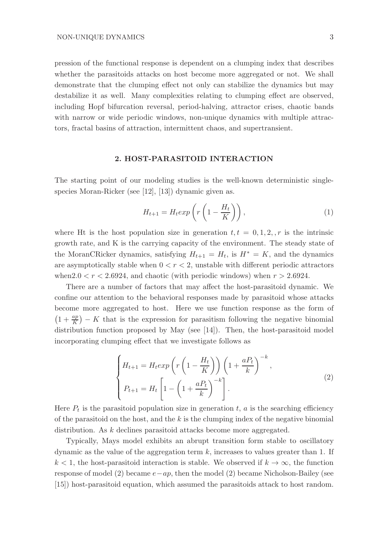pression of the functional response is dependent on a clumping index that describes whether the parasitoids attacks on host become more aggregated or not. We shall demonstrate that the clumping effect not only can stabilize the dynamics but may destabilize it as well. Many complexities relating to clumping effect are observed, including Hopf bifurcation reversal, period-halving, attractor crises, chaotic bands with narrow or wide periodic windows, non-unique dynamics with multiple attractors, fractal basins of attraction, intermittent chaos, and supertransient.

### 2. HOST-PARASITOID INTERACTION

The starting point of our modeling studies is the well-known deterministic singlespecies Moran-Ricker (see [12], [13]) dynamic given as.

$$
H_{t+1} = H_t exp\left(r\left(1 - \frac{H_t}{K}\right)\right),\tag{1}
$$

where Ht is the host population size in generation  $t, t = 0, 1, 2, r$  is the intrinsic growth rate, and K is the carrying capacity of the environment. The steady state of the MoranCRicker dynamics, satisfying  $H_{t+1} = H_t$ , is  $H^* = K$ , and the dynamics are asymptotically stable when  $0 < r < 2$ , unstable with different periodic attractors when  $2.0 < r < 2.6924$ , and chaotic (with periodic windows) when  $r > 2.6924$ .

There are a number of factors that may affect the host-parasitoid dynamic. We confine our attention to the behavioral responses made by parasitoid whose attacks become more aggregated to host. Here we use function response as the form of  $\left(1+\frac{ap}{K}\right)-K$  that is the expression for parasitism following the negative binomial distribution function proposed by May (see [14]). Then, the host-parasitoid model incorporating clumping effect that we investigate follows as

$$
\begin{cases}\nH_{t+1} = H_t exp\left(r\left(1 - \frac{H_t}{K}\right)\right) \left(1 + \frac{aP_t}{k}\right)^{-k}, \\
P_{t+1} = H_t \left[1 - \left(1 + \frac{aP_t}{k}\right)^{-k}\right].\n\end{cases}
$$
\n(2)

Here  $P_t$  is the parasitoid population size in generation  $t$ ,  $a$  is the searching efficiency of the parasitoid on the host, and the  $k$  is the clumping index of the negative binomial distribution. As k declines parasitoid attacks become more aggregated.

Typically, Mays model exhibits an abrupt transition form stable to oscillatory dynamic as the value of the aggregation term  $k$ , increases to values greater than 1. If  $k < 1$ , the host-parasitoid interaction is stable. We observed if  $k \to \infty$ , the function response of model (2) became  $e-ap$ , then the model (2) became Nicholson-Bailey (see [15]) host-parasitoid equation, which assumed the parasitoids attack to host random.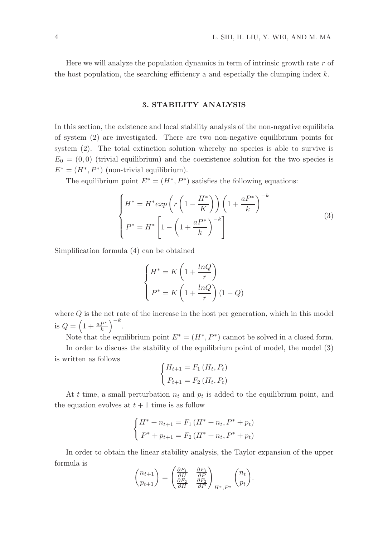Here we will analyze the population dynamics in term of intrinsic growth rate  $r$  of the host population, the searching efficiency a and especially the clumping index  $k$ .

### 3. STABILITY ANALYSIS

In this section, the existence and local stability analysis of the non-negative equilibria of system (2) are investigated. There are two non-negative equilibrium points for system (2). The total extinction solution whereby no species is able to survive is  $E_0 = (0,0)$  (trivial equilibrium) and the coexistence solution for the two species is  $E^* = (H^*, P^*)$  (non-trivial equilibrium).

The equilibrium point  $E^* = (H^*, P^*)$  satisfies the following equations:

$$
\begin{cases}\nH^* = H^* \exp\left(r\left(1 - \frac{H^*}{K}\right)\right) \left(1 + \frac{aP^*}{k}\right)^{-k} \\
P^* = H^* \left[1 - \left(1 + \frac{aP^*}{k}\right)^{-k}\right]\n\end{cases} \tag{3}
$$

Simplification formula (4) can be obtained

$$
\begin{cases}\nH^* = K\left(1 + \frac{\ln Q}{r}\right) \\
P^* = K\left(1 + \frac{\ln Q}{r}\right)(1 - Q)\n\end{cases}
$$

where  $Q$  is the net rate of the increase in the host per generation, which in this model is  $Q = \left(1 + \frac{aP^*}{k}\right)^{-k}$ .

Note that the equilibrium point  $E^* = (H^*, P^*)$  cannot be solved in a closed form.

In order to discuss the stability of the equilibrium point of model, the model (3) is written as follows

$$
\begin{cases} H_{t+1} = F_1(H_t, P_t) \\ P_{t+1} = F_2(H_t, P_t) \end{cases}
$$

At t time, a small perturbation  $n_t$  and  $p_t$  is added to the equilibrium point, and the equation evolves at  $t + 1$  time is as follow

$$
\begin{cases} H^* + n_{t+1} = F_1(H^* + n_t, P^* + p_t) \\ P^* + p_{t+1} = F_2(H^* + n_t, P^* + p_t) \end{cases}
$$

In order to obtain the linear stability analysis, the Taylor expansion of the upper formula is

$$
\begin{pmatrix} n_{t+1} \\ p_{t+1} \end{pmatrix} = \begin{pmatrix} \frac{\partial F_1}{\partial H} & \frac{\partial F_1}{\partial P} \\ \frac{\partial F_2}{\partial H} & \frac{\partial F_2}{\partial P} \end{pmatrix}_{H^*,P^*} \begin{pmatrix} n_t \\ p_t \end{pmatrix}
$$

.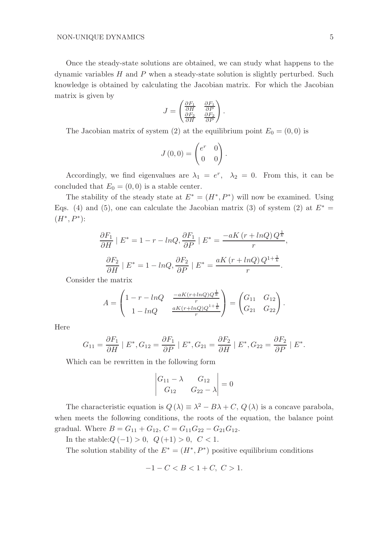Once the steady-state solutions are obtained, we can study what happens to the dynamic variables H and P when a steady-state solution is slightly perturbed. Such knowledge is obtained by calculating the Jacobian matrix. For which the Jacobian matrix is given by

$$
J = \begin{pmatrix} \frac{\partial F_1}{\partial H} & \frac{\partial F_1}{\partial P} \\ \frac{\partial F_2}{\partial H} & \frac{\partial F_2}{\partial P} \end{pmatrix}.
$$

The Jacobian matrix of system (2) at the equilibrium point  $E_0 = (0, 0)$  is

$$
J(0,0) = \begin{pmatrix} e^r & 0 \\ 0 & 0 \end{pmatrix}.
$$

Accordingly, we find eigenvalues are  $\lambda_1 = e^r$ ,  $\lambda_2 = 0$ . From this, it can be concluded that  $E_0 = (0, 0)$  is a stable center.

The stability of the steady state at  $E^* = (H^*, P^*)$  will now be examined. Using Eqs. (4) and (5), one can calculate the Jacobian matrix (3) of system (2) at  $E^* =$  $(H^*, P^*)$ :

$$
\frac{\partial F_1}{\partial H} \mid E^* = 1 - r - \ln Q, \frac{\partial F_1}{\partial P} \mid E^* = \frac{-aK(r + \ln Q)Q^{\frac{1}{k}}}{r}
$$

$$
\frac{\partial F_2}{\partial H} \mid E^* = 1 - \ln Q, \frac{\partial F_2}{\partial P} \mid E^* = \frac{aK(r + \ln Q)Q^{1 + \frac{1}{k}}}{r}.
$$

Consider the matrix

$$
A = \begin{pmatrix} 1 - r - lnQ & \frac{-aK(r + lnQ)Q^{\frac{1}{k}}}{r} \\ 1 - lnQ & \frac{aK(r + lnQ)Q^{1 + \frac{1}{k}}}{r} \end{pmatrix} = \begin{pmatrix} G_{11} & G_{12} \\ G_{21} & G_{22} \end{pmatrix}.
$$

Here

$$
G_{11} = \frac{\partial F_1}{\partial H} \mid E^*, G_{12} = \frac{\partial F_1}{\partial P} \mid E^*, G_{21} = \frac{\partial F_2}{\partial H} \mid E^*, G_{22} = \frac{\partial F_2}{\partial P} \mid E^*.
$$

Which can be rewritten in the following form

$$
\begin{vmatrix} G_{11} - \lambda & G_{12} \\ G_{12} & G_{22} - \lambda \end{vmatrix} = 0
$$

The characteristic equation is  $Q(\lambda) \equiv \lambda^2 - B\lambda + C$ ,  $Q(\lambda)$  is a concave parabola, when meets the following conditions, the roots of the equation, the balance point gradual. Where  $B = G_{11} + G_{12}$ ,  $C = G_{11}G_{22} - G_{21}G_{12}$ .

In the stable: $Q(-1) > 0$ ,  $Q(+1) > 0$ ,  $C < 1$ .

The solution stability of the  $E^* = (H^*, P^*)$  positive equilibrium conditions

$$
-1 - C < B < 1 + C, \ C > 1.
$$

,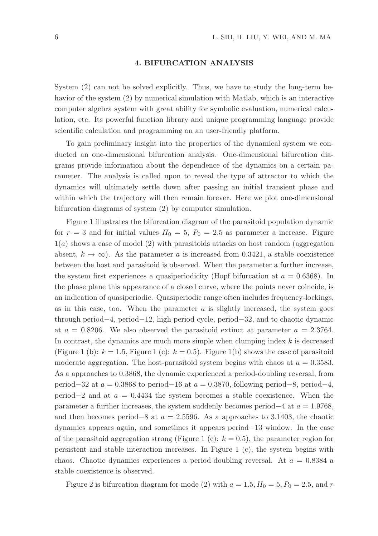### 4. BIFURCATION ANALYSIS

System (2) can not be solved explicitly. Thus, we have to study the long-term behavior of the system (2) by numerical simulation with Matlab, which is an interactive computer algebra system with great ability for symbolic evaluation, numerical calculation, etc. Its powerful function library and unique programming language provide scientific calculation and programming on an user-friendly platform.

To gain preliminary insight into the properties of the dynamical system we conducted an one-dimensional bifurcation analysis. One-dimensional bifurcation diagrams provide information about the dependence of the dynamics on a certain parameter. The analysis is called upon to reveal the type of attractor to which the dynamics will ultimately settle down after passing an initial transient phase and within which the trajectory will then remain forever. Here we plot one-dimensional bifurcation diagrams of system (2) by computer simulation.

Figure 1 illustrates the bifurcation diagram of the parasitoid population dynamic for  $r = 3$  and for initial values  $H_0 = 5$ ,  $P_0 = 2.5$  as parameter a increase. Figure  $1(a)$  shows a case of model (2) with parasitoids attacks on host random (aggregation absent,  $k \to \infty$ ). As the parameter a is increased from 0.3421, a stable coexistence between the host and parasitoid is observed. When the parameter a further increase, the system first experiences a quasiperiodicity (Hopf bifurcation at  $a = 0.6368$ ). In the phase plane this appearance of a closed curve, where the points never coincide, is an indication of quasiperiodic. Quasiperiodic range often includes frequency-lockings, as in this case, too. When the parameter  $a$  is slightly increased, the system goes through period−4, period−12, high period cycle, period−32, and to chaotic dynamic at  $a = 0.8206$ . We also observed the parasitoid extinct at parameter  $a = 2.3764$ . In contrast, the dynamics are much more simple when clumping index  $k$  is decreased (Figure 1 (b):  $k = 1.5$ , Figure 1 (c):  $k = 0.5$ ). Figure 1(b) shows the case of parasitoid moderate aggregation. The host-parasitoid system begins with chaos at  $a = 0.3583$ . As a approaches to 0.3868, the dynamic experienced a period-doubling reversal, from period−32 at  $a = 0.3868$  to period−16 at  $a = 0.3870$ , following period−8, period−4, period−2 and at  $a = 0.4434$  the system becomes a stable coexistence. When the parameter a further increases, the system suddenly becomes period $-4$  at  $a = 1.9768$ , and then becomes period–8 at  $a = 2.5596$ . As a approaches to 3.1403, the chaotic dynamics appears again, and sometimes it appears period−13 window. In the case of the parasitoid aggregation strong (Figure 1 (c):  $k = 0.5$ ), the parameter region for persistent and stable interaction increases. In Figure 1 (c), the system begins with chaos. Chaotic dynamics experiences a period-doubling reversal. At  $a = 0.8384$  a stable coexistence is observed.

Figure 2 is bifurcation diagram for mode (2) with  $a = 1.5, H_0 = 5, P_0 = 2.5$ , and r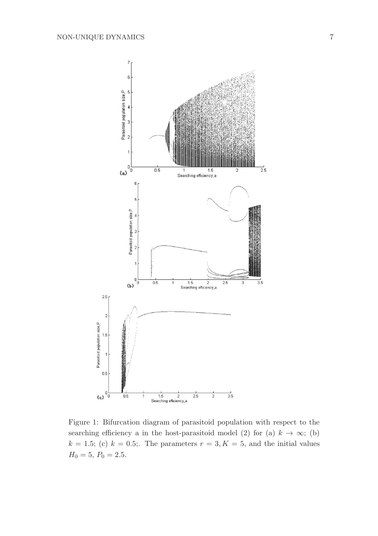

Figure 1: Bifurcation diagram of parasitoid population with respect to the searching efficiency a in the host-parasitoid model (2) for (a)  $k \to \infty$ ; (b)  $k = 1.5$ ; (c)  $k = 0.5$ ;. The parameters  $r = 3, K = 5$ , and the initial values  $H_0 = 5, P_0 = 2.5.$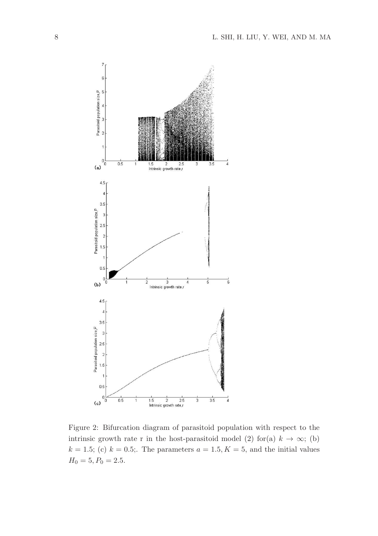

Figure 2: Bifurcation diagram of parasitoid population with respect to the intrinsic growth rate r in the host-parasitoid model (2) for(a)  $k \to \infty$ ; (b)  $k = 1.5$ ; (c)  $k = 0.5$ . The parameters  $a = 1.5, K = 5$ , and the initial values  $H_0 = 5, P_0 = 2.5.$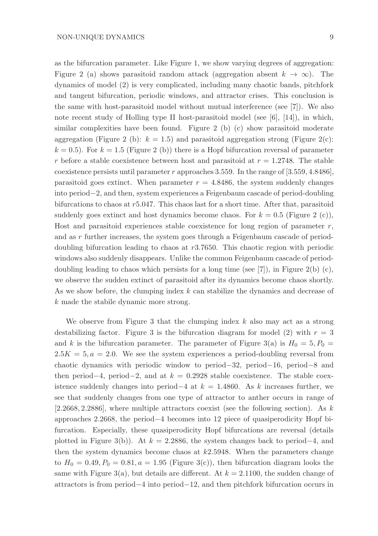as the bifurcation parameter. Like Figure 1, we show varying degrees of aggregation: Figure 2 (a) shows parasitoid random attack (aggregation absent  $k \to \infty$ ). The dynamics of model (2) is very complicated, including many chaotic bands, pitchfork and tangent bifurcation, periodic windows, and attractor crises. This conclusion is the same with host-parasitoid model without mutual interference (see [7]). We also note recent study of Holling type II host-parasitoid model (see [6], [14]), in which, similar complexities have been found. Figure 2 (b) (c) show parasitoid moderate aggregation (Figure 2 (b):  $k = 1.5$ ) and parasitoid aggregation strong (Figure 2(c):  $k = 0.5$ ). For  $k = 1.5$  (Figure 2 (b)) there is a Hopf bifurcation reversal of parameter r before a stable coexistence between host and parasitoid at  $r = 1.2748$ . The stable coexistence persists until parameter r approaches 3.559. In the range of [3.559, 4.8486], parasitoid goes extinct. When parameter  $r = 4.8486$ , the system suddenly changes into period−2, and then, system experiences a Feigenbaum cascade of period-doubling bifurcations to chaos at r5.047. This chaos last for a short time. After that, parasitoid suddenly goes extinct and host dynamics become chaos. For  $k = 0.5$  (Figure 2 (c)), Host and parasitoid experiences stable coexistence for long region of parameter  $r$ , and as r further increases, the system goes through a Feigenbaum cascade of perioddoubling bifurcation leading to chaos at  $r3.7650$ . This chaotic region with periodic windows also suddenly disappears. Unlike the common Feigenbaum cascade of perioddoubling leading to chaos which persists for a long time (see [7]), in Figure 2(b) (c), we observe the sudden extinct of parasitoid after its dynamics become chaos shortly. As we show before, the clumping index k can stabilize the dynamics and decrease of k made the stabile dynamic more strong.

We observe from Figure 3 that the clumping index  $k$  also may act as a strong destabilizing factor. Figure 3 is the bifurcation diagram for model (2) with  $r = 3$ and k is the bifurcation parameter. The parameter of Figure 3(a) is  $H_0 = 5, P_0 =$  $2.5K = 5, a = 2.0$ . We see the system experiences a period-doubling reversal from chaotic dynamics with periodic window to period–32, period–16, period–8 and then period−4, period−2, and at  $k = 0.2928$  stable coexistence. The stable coexistence suddenly changes into period $-4$  at  $k = 1.4860$ . As k increases further, we see that suddenly changes from one type of attractor to anther occurs in range of  $[2.2668, 2.2886]$ , where multiple attractors coexist (see the following section). As k approaches 2.2668, the period−4 becomes into 12 piece of quasiperodicity Hopf bifurcation. Especially, these quasiperodicity Hopf bifurcations are reversal (details plotted in Figure 3(b)). At  $k = 2.2886$ , the system changes back to period–4, and then the system dynamics become chaos at k2.5948. When the parameters change to  $H_0 = 0.49, P_0 = 0.81, a = 1.95$  (Figure 3(c)), then bifurcation diagram looks the same with Figure 3(a), but details are different. At  $k = 2.1100$ , the sudden change of attractors is from period−4 into period−12, and then pitchfork bifurcation occurs in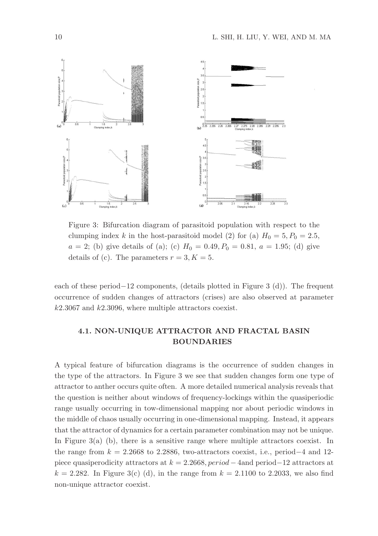

Figure 3: Bifurcation diagram of parasitoid population with respect to the clumping index k in the host-parasitoid model (2) for (a)  $H_0 = 5, P_0 = 2.5$ ,  $a = 2$ ; (b) give details of (a); (c)  $H_0 = 0.49, P_0 = 0.81, a = 1.95$ ; (d) give details of (c). The parameters  $r = 3, K = 5$ .

each of these period−12 components, (details plotted in Figure 3 (d)). The frequent occurrence of sudden changes of attractors (crises) are also observed at parameter  $k2.3067$  and  $k2.3096$ , where multiple attractors coexist.

# 4.1. NON-UNIQUE ATTRACTOR AND FRACTAL BASIN BOUNDARIES

A typical feature of bifurcation diagrams is the occurrence of sudden changes in the type of the attractors. In Figure 3 we see that sudden changes form one type of attractor to anther occurs quite often. A more detailed numerical analysis reveals that the question is neither about windows of frequency-lockings within the quasiperiodic range usually occurring in tow-dimensional mapping nor about periodic windows in the middle of chaos usually occurring in one-dimensional mapping. Instead, it appears that the attractor of dynamics for a certain parameter combination may not be unique. In Figure  $3(a)$  (b), there is a sensitive range where multiple attractors coexist. In the range from  $k = 2.2668$  to 2.2886, two-attractors coexist, i.e., period–4 and 12piece quasiperodicity attractors at  $k = 2.2668$ , period – 4and period–12 attractors at  $k = 2.282$ . In Figure 3(c) (d), in the range from  $k = 2.1100$  to 2.2033, we also find non-unique attractor coexist.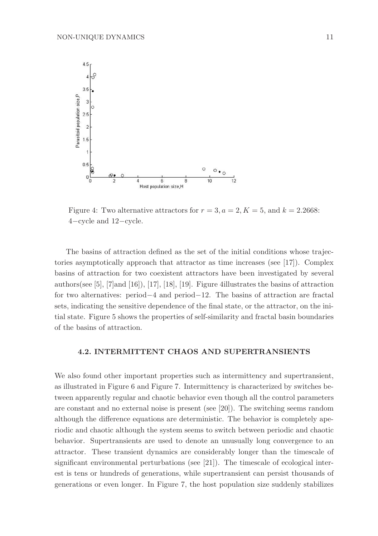

Figure 4: Two alternative attractors for  $r = 3, a = 2, K = 5$ , and  $k = 2.2668$ : 4−cycle and 12−cycle.

The basins of attraction defined as the set of the initial conditions whose trajectories asymptotically approach that attractor as time increases (see [17]). Complex basins of attraction for two coexistent attractors have been investigated by several authors(see [5], [7]and [16]), [17], [18], [19]. Figure 4illustrates the basins of attraction for two alternatives: period−4 and period−12. The basins of attraction are fractal sets, indicating the sensitive dependence of the final state, or the attractor, on the initial state. Figure 5 shows the properties of self-similarity and fractal basin boundaries of the basins of attraction.

## 4.2. INTERMITTENT CHAOS AND SUPERTRANSIENTS

We also found other important properties such as intermittency and supertransient, as illustrated in Figure 6 and Figure 7. Intermittency is characterized by switches between apparently regular and chaotic behavior even though all the control parameters are constant and no external noise is present (see [20]). The switching seems random although the difference equations are deterministic. The behavior is completely aperiodic and chaotic although the system seems to switch between periodic and chaotic behavior. Supertransients are used to denote an unusually long convergence to an attractor. These transient dynamics are considerably longer than the timescale of significant environmental perturbations (see [21]). The timescale of ecological interest is tens or hundreds of generations, while supertransient can persist thousands of generations or even longer. In Figure 7, the host population size suddenly stabilizes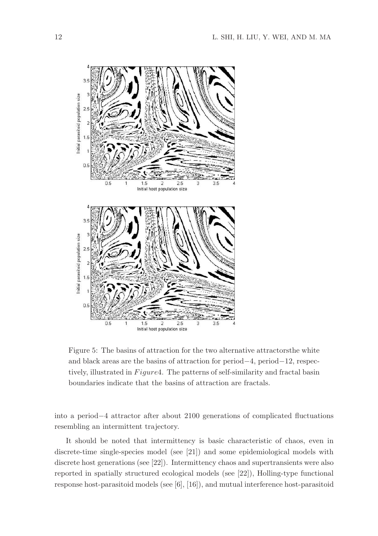

Figure 5: The basins of attraction for the two alternative attractorsthe white and black areas are the basins of attraction for period−4, period−12, respectively, illustrated in Figure4. The patterns of self-similarity and fractal basin boundaries indicate that the basins of attraction are fractals.

into a period−4 attractor after about 2100 generations of complicated fluctuations resembling an intermittent trajectory.

It should be noted that intermittency is basic characteristic of chaos, even in discrete-time single-species model (see [21]) and some epidemiological models with discrete host generations (see [22]). Intermittency chaos and supertransients were also reported in spatially structured ecological models (see [22]), Holling-type functional response host-parasitoid models (see [6], [16]), and mutual interference host-parasitoid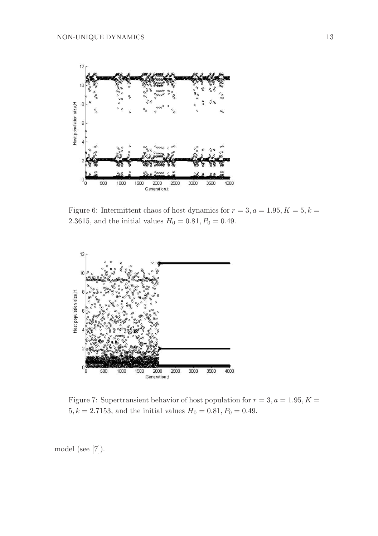

Figure 6: Intermittent chaos of host dynamics for  $r = 3, a = 1.95, K = 5, k = 5$ 2.3615, and the initial values  $H_0 = 0.81, P_0 = 0.49$ .



Figure 7: Supertransient behavior of host population for  $r = 3, a = 1.95, K =$ 5,  $k = 2.7153$ , and the initial values  $H_0 = 0.81, P_0 = 0.49$ .

model (see [7]).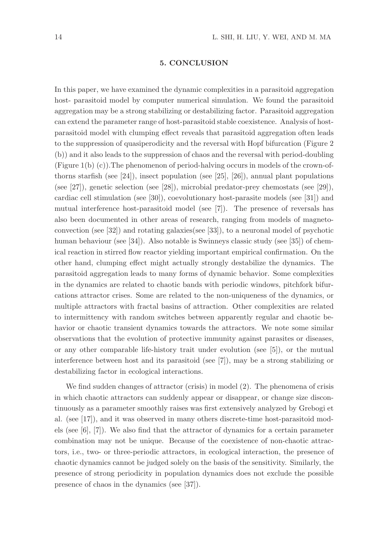### 5. CONCLUSION

In this paper, we have examined the dynamic complexities in a parasitoid aggregation host- parasitoid model by computer numerical simulation. We found the parasitoid aggregation may be a strong stabilizing or destabilizing factor. Parasitoid aggregation can extend the parameter range of host-parasitoid stable coexistence. Analysis of hostparasitoid model with clumping effect reveals that parasitoid aggregation often leads to the suppression of quasiperodicity and the reversal with Hopf bifurcation (Figure 2 (b)) and it also leads to the suppression of chaos and the reversal with period-doubling (Figure 1(b) (c)).The phenomenon of period-halving occurs in models of the crown-ofthorns starfish (see [24]), insect population (see [25], [26]), annual plant populations (see [27]), genetic selection (see [28]), microbial predator-prey chemostats (see [29]), cardiac cell stimulation (see [30]), coevolutionary host-parasite models (see [31]) and mutual interference host-parasitoid model (see [7]). The presence of reversals has also been documented in other areas of research, ranging from models of magnetoconvection (see [32]) and rotating galaxies(see [33]), to a neuronal model of psychotic human behaviour (see [34]). Also notable is Swinneys classic study (see [35]) of chemical reaction in stirred flow reactor yielding important empirical confirmation. On the other hand, clumping effect might actually strongly destabilize the dynamics. The parasitoid aggregation leads to many forms of dynamic behavior. Some complexities in the dynamics are related to chaotic bands with periodic windows, pitchfork bifurcations attractor crises. Some are related to the non-uniqueness of the dynamics, or multiple attractors with fractal basins of attraction. Other complexities are related to intermittency with random switches between apparently regular and chaotic behavior or chaotic transient dynamics towards the attractors. We note some similar observations that the evolution of protective immunity against parasites or diseases, or any other comparable life-history trait under evolution (see [5]), or the mutual interference between host and its parasitoid (see [7]), may be a strong stabilizing or destabilizing factor in ecological interactions.

We find sudden changes of attractor (crisis) in model (2). The phenomena of crisis in which chaotic attractors can suddenly appear or disappear, or change size discontinuously as a parameter smoothly raises was first extensively analyzed by Grebogi et al. (see [17]), and it was observed in many others discrete-time host-parasitoid models (see  $[6]$ ,  $[7]$ ). We also find that the attractor of dynamics for a certain parameter combination may not be unique. Because of the coexistence of non-chaotic attractors, i.e., two- or three-periodic attractors, in ecological interaction, the presence of chaotic dynamics cannot be judged solely on the basis of the sensitivity. Similarly, the presence of strong periodicity in population dynamics does not exclude the possible presence of chaos in the dynamics (see [37]).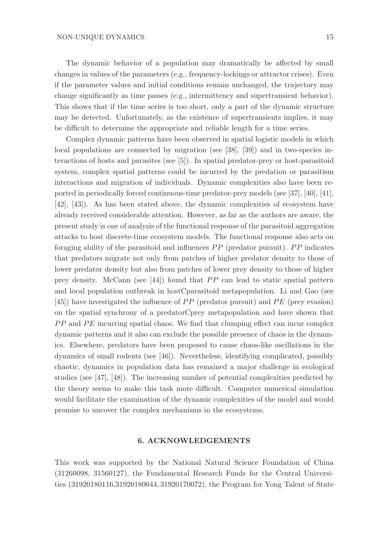The dynamic behavior of a population may dramatically be affected by small changes in values of the parameters (e.g., frequency-lockings or attractor crises). Even if the parameter values and initial conditions remain unchanged, the trajectory may change significantly as time passes (e.g., intermittency and supertransient behavior). This shows that if the time series is too short, only a part of the dynamic structure may be detected. Unfortunately, as the existence of supertransients implies, it may be difficult to determine the appropriate and reliable length for a time series.

Complex dynamic patterns have been observed in spatial logistic models in which local populations are connected by migration (see [38], [39]) and in two-species interactions of hosts and parasites (see [5]). In spatial predator-prey or host-parasitoid system, complex spatial patterns could be incurred by the predation or parasitism interactions and migration of individuals. Dynamic complexities also have been reported in periodically forced continuous-time predator-prey models (see [37], [40], [41], [42], [43]). As has been stated above, the dynamic complexities of ecosystem have already received considerable attention. However, as far as the authors are aware, the present study is one of analysis of the functional response of the parasitoid aggregation attacks to host discrete-time ecosystem models. The functional response also acts on foraging ability of the parasitoid and influences  $PP$  (predator pursuit).  $PP$  indicates that predators migrate not only from patches of higher predator density to those of lower predator density but also from patches of lower prey density to those of higher prey density. McCann (see  $[44]$ ) found that  $PP$  can lead to static spatial pattern and local population outbreak in hostCparasitoid metapopulation. Li and Gao (see [45]) have investigated the influence of  $PP$  (predator pursuit) and  $PE$  (prey evasion) on the spatial synchrony of a predatorCprey metapopulation and have shown that  $PP$  and  $PE$  incurring spatial chaos. We find that clumping effect can incur complex dynamic patterns and it also can exclude the possible presence of chaos in the dynamics. Elsewhere, predators have been proposed to cause chaos-like oscillations in the dynamics of small rodents (see [46]). Nevertheless, identifying complicated, possibly chaotic, dynamics in population data has remained a major challenge in ecological studies (see [47], [48]). The increasing number of potential complexities predicted by the theory seems to make this task more difficult. Computer numerical simulation would facilitate the examination of the dynamic complexities of the model and would promise to uncover the complex mechanisms in the ecosystems.

### 6. ACKNOWLEDGEMENTS

This work was supported by the National Natural Science Foundation of China (31260098, 31560127), the Fundamental Research Funds for the Central Universities (31920180116,31920180044, 31920170072), the Program for Yong Talent of State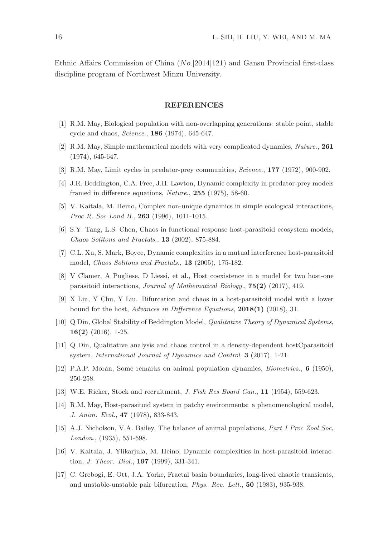Ethnic Affairs Commission of China (No.[2014]121) and Gansu Provincial first-class discipline program of Northwest Minzu University.

#### REFERENCES

- [1] R.M. May, Biological population with non-overlapping generations: stable point, stable cycle and chaos, Science., 186 (1974), 645-647.
- [2] R.M. May, Simple mathematical models with very complicated dynamics, Nature., 261 (1974), 645-647.
- [3] R.M. May, Limit cycles in predator-prey communities, *Science.*, **177** (1972), 900-902.
- [4] J.R. Beddington, C.A. Free, J.H. Lawton, Dynamic complexity in predator-prey models framed in difference equations, Nature., 255 (1975), 58-60.
- [5] V. Kaitala, M. Heino, Complex non-unique dynamics in simple ecological interactions, Proc R. Soc Lond B., 263 (1996), 1011-1015.
- [6] S.Y. Tang, L.S. Chen, Chaos in functional response host-parasitoid ecosystem models, Chaos Solitons and Fractals., 13 (2002), 875-884.
- [7] C.L. Xu, S. Mark, Boyce, Dynamic complexities in a mutual interference host-parasitoid model, Chaos Solitons and Fractals., 13 (2005), 175-182.
- [8] V Clamer, A Pugliese, D Liessi, et al., Host coexistence in a model for two host-one parasitoid interactions, Journal of Mathematical Biology., 75(2) (2017), 419.
- [9] X Liu, Y Chu, Y Liu. Bifurcation and chaos in a host-parasitoid model with a lower bound for the host, Advances in Difference Equations, 2018(1) (2018), 31.
- [10] Q Din, Global Stability of Beddington Model, Qualitative Theory of Dynamical Systems, 16(2) (2016), 1-25.
- [11] Q Din, Qualitative analysis and chaos control in a density-dependent hostCparasitoid system, International Journal of Dynamics and Control, 3 (2017), 1-21.
- [12] P.A.P. Moran, Some remarks on animal population dynamics, Biometrics., 6 (1950), 250-258.
- [13] W.E. Ricker, Stock and recruitment, *J. Fish Res Board Can.*, **11** (1954), 559-623.
- [14] R.M. May, Host-parasitoid system in patchy environments: a phenomenological model, J. Anim. Ecol., 47 (1978), 833-843.
- [15] A.J. Nicholson, V.A. Bailey, The balance of animal populations, Part I Proc Zool Soc, London., (1935), 551-598.
- [16] V. Kaitala, J. Ylikarjula, M. Heino, Dynamic complexities in host-parasitoid interaction, *J. Theor. Biol.*, **197** (1999), 331-341.
- [17] C. Grebogi, E. Ott, J.A. Yorke, Fractal basin boundaries, long-lived chaotic transients, and unstable-unstable pair bifurcation, Phys. Rev. Lett., 50 (1983), 935-938.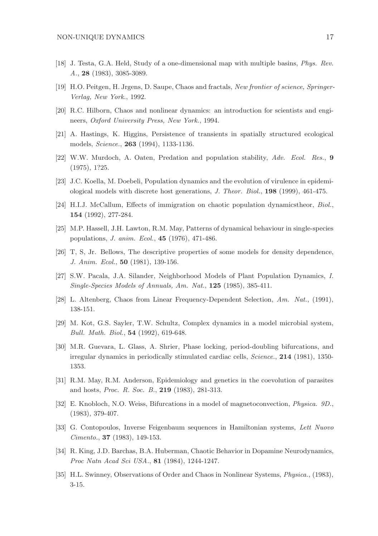- [18] J. Testa, G.A. Held, Study of a one-dimensional map with multiple basins, Phys. Rev. A., 28 (1983), 3085-3089.
- [19] H.O. Peitgen, H. Jrgens, D. Saupe, Chaos and fractals, New frontier of science, Springer-Verlag, New York., 1992.
- [20] R.C. Hilborn, Chaos and nonlinear dynamics: an introduction for scientists and engineers, Oxford University Press, New York., 1994.
- [21] A. Hastings, K. Higgins, Persistence of transients in spatially structured ecological models, Science., 263 (1994), 1133-1136.
- [22] W.W. Murdoch, A. Oaten, Predation and population stability, Adv. Ecol. Res., 9 (1975), 1?25.
- [23] J.C. Koella, M. Doebeli, Population dynamics and the evolution of virulence in epidemiological models with discrete host generations, J. Theor. Biol., 198 (1999), 461-475.
- [24] H.I.J. McCallum, Effects of immigration on chaotic population dynamicstheor, Biol., 154 (1992), 277-284.
- [25] M.P. Hassell, J.H. Lawton, R.M. May, Patterns of dynamical behaviour in single-species populations, J. anim. Ecol., 45 (1976), 471-486.
- [26] T, S, Jr. Bellows, The descriptive properties of some models for density dependence, J. Anim. Ecol., 50 (1981), 139-156.
- [27] S.W. Pacala, J.A. Silander, Neighborhood Models of Plant Population Dynamics, I. Single-Species Models of Annuals, Am. Nat., 125 (1985), 385-411.
- [28] L. Altenberg, Chaos from Linear Frequency-Dependent Selection, Am. Nat., (1991), 138-151.
- [29] M. Kot, G.S. Sayler, T.W. Schultz, Complex dynamics in a model microbial system, Bull. Math. Biol., 54 (1992), 619-648.
- [30] M.R. Guevara, L. Glass, A. Shrier, Phase locking, period-doubling bifurcations, and irregular dynamics in periodically stimulated cardiac cells, *Science.*, **214** (1981), 1350-1353.
- [31] R.M. May, R.M. Anderson, Epidemiology and genetics in the coevolution of parasites and hosts, Proc. R. Soc. B., 219 (1983), 281-313.
- [32] E. Knobloch, N.O. Weiss, Bifurcations in a model of magnetoconvection, Physica. 9D., (1983), 379-407.
- [33] G. Contopoulos, Inverse Feigenbaum sequences in Hamiltonian systems, Lett Nuovo Cimento., 37 (1983), 149-153.
- [34] R. King, J.D. Barchas, B.A. Huberman, Chaotic Behavior in Dopamine Neurodynamics, Proc Natn Acad Sci USA., 81 (1984), 1244-1247.
- [35] H.L. Swinney, Observations of Order and Chaos in Nonlinear Systems, Physica., (1983), 3-15.